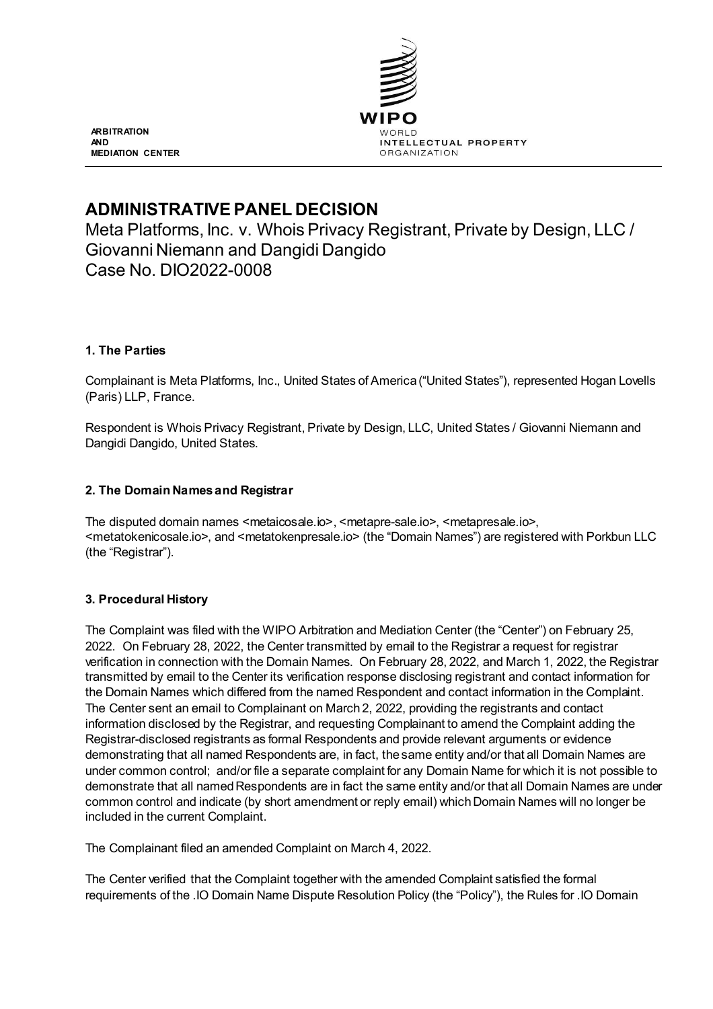

**ARBITRATION AND MEDIATION CENTER**

# **ADMINISTRATIVE PANEL DECISION**

Meta Platforms, Inc. v. Whois Privacy Registrant, Private by Design, LLC / Giovanni Niemann and Dangidi Dangido Case No. DIO2022-0008

# **1. The Parties**

Complainant is Meta Platforms, Inc., United States of America ("United States"), represented Hogan Lovells (Paris) LLP, France.

Respondent is Whois Privacy Registrant, Private by Design, LLC, United States / Giovanni Niemann and Dangidi Dangido, United States.

### **2. The Domain Names and Registrar**

The disputed domain names <metaicosale.io>, <metapre-sale.io>, <metapresale.io>, <metatokenicosale.io>, and <metatokenpresale.io> (the "Domain Names") are registered with Porkbun LLC (the "Registrar").

### **3. Procedural History**

The Complaint was filed with the WIPO Arbitration and Mediation Center (the "Center") on February 25, 2022. On February 28, 2022, the Center transmitted by email to the Registrar a request for registrar verification in connection with the Domain Names. On February 28, 2022, and March 1, 2022, the Registrar transmitted by email to the Center its verification response disclosing registrant and contact information for the Domain Names which differed from the named Respondent and contact information in the Complaint. The Center sent an email to Complainant on March 2, 2022, providing the registrants and contact information disclosed by the Registrar, and requesting Complainant to amend the Complaint adding the Registrar-disclosed registrants as formal Respondents and provide relevant arguments or evidence demonstrating that all named Respondents are, in fact, the same entity and/or that all Domain Names are under common control; and/or file a separate complaint for any Domain Name for which it is not possible to demonstrate that all named Respondents are in fact the same entity and/or that all Domain Names are under common control and indicate (by short amendment or reply email) which Domain Names will no longer be included in the current Complaint.

The Complainant filed an amended Complaint on March 4, 2022.

The Center verified that the Complaint together with the amended Complaint satisfied the formal requirements of the .IO Domain Name Dispute Resolution Policy (the "Policy"), the Rules for .IO Domain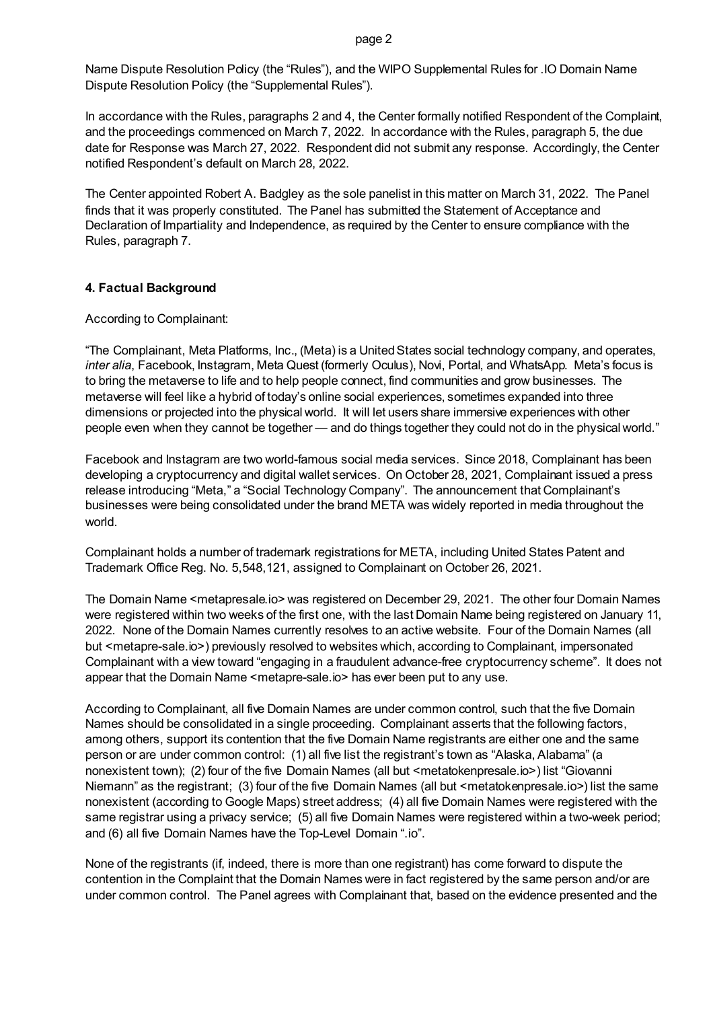Name Dispute Resolution Policy (the "Rules"), and the WIPO Supplemental Rules for .IO Domain Name Dispute Resolution Policy (the "Supplemental Rules").

In accordance with the Rules, paragraphs 2 and 4, the Center formally notified Respondent of the Complaint, and the proceedings commenced on March 7, 2022. In accordance with the Rules, paragraph 5, the due date for Response was March 27, 2022. Respondent did not submit any response. Accordingly, the Center notified Respondent's default on March 28, 2022.

The Center appointed Robert A. Badgley as the sole panelist in this matter on March 31, 2022. The Panel finds that it was properly constituted. The Panel has submitted the Statement of Acceptance and Declaration of Impartiality and Independence, as required by the Center to ensure compliance with the Rules, paragraph 7.

### **4. Factual Background**

According to Complainant:

"The Complainant, Meta Platforms, Inc., (Meta) is a United States social technology company, and operates, *inter alia*, Facebook, Instagram, Meta Quest (formerly Oculus), Novi, Portal, and WhatsApp. Meta's focus is to bring the metaverse to life and to help people connect, find communities and grow businesses. The metaverse will feel like a hybrid of today's online social experiences, sometimes expanded into three dimensions or projected into the physical world. It will let users share immersive experiences with other people even when they cannot be together — and do things together they could not do in the physical world."

Facebook and Instagram are two world-famous social media services. Since 2018, Complainant has been developing a cryptocurrency and digital wallet services. On October 28, 2021, Complainant issued a press release introducing "Meta," a "Social Technology Company". The announcement that Complainant's businesses were being consolidated under the brand META was widely reported in media throughout the world.

Complainant holds a number of trademark registrations for META, including United States Patent and Trademark Office Reg. No. 5,548,121, assigned to Complainant on October 26, 2021.

The Domain Name <metapresale.io> was registered on December 29, 2021. The other four Domain Names were registered within two weeks of the first one, with the last Domain Name being registered on January 11, 2022. None of the Domain Names currently resolves to an active website. Four of the Domain Names (all but <metapre-sale.io>) previously resolved to websites which, according to Complainant, impersonated Complainant with a view toward "engaging in a fraudulent advance-free cryptocurrency scheme". It does not appear that the Domain Name <metapre-sale.io> has ever been put to any use.

According to Complainant, all five Domain Names are under common control, such that the five Domain Names should be consolidated in a single proceeding. Complainant asserts that the following factors, among others, support its contention that the five Domain Name registrants are either one and the same person or are under common control: (1) all five list the registrant's town as "Alaska, Alabama" (a nonexistent town); (2) four of the five Domain Names (all but <metatokenpresale.io>) list "Giovanni Niemann" as the registrant; (3) four of the five Domain Names (all but <metatokenpresale.io>) list the same nonexistent (according to Google Maps) street address; (4) all five Domain Names were registered with the same registrar using a privacy service; (5) all five Domain Names were registered within a two-week period; and (6) all five Domain Names have the Top-Level Domain ".io".

None of the registrants (if, indeed, there is more than one registrant) has come forward to dispute the contention in the Complaint that the Domain Names were in fact registered by the same person and/or are under common control. The Panel agrees with Complainant that, based on the evidence presented and the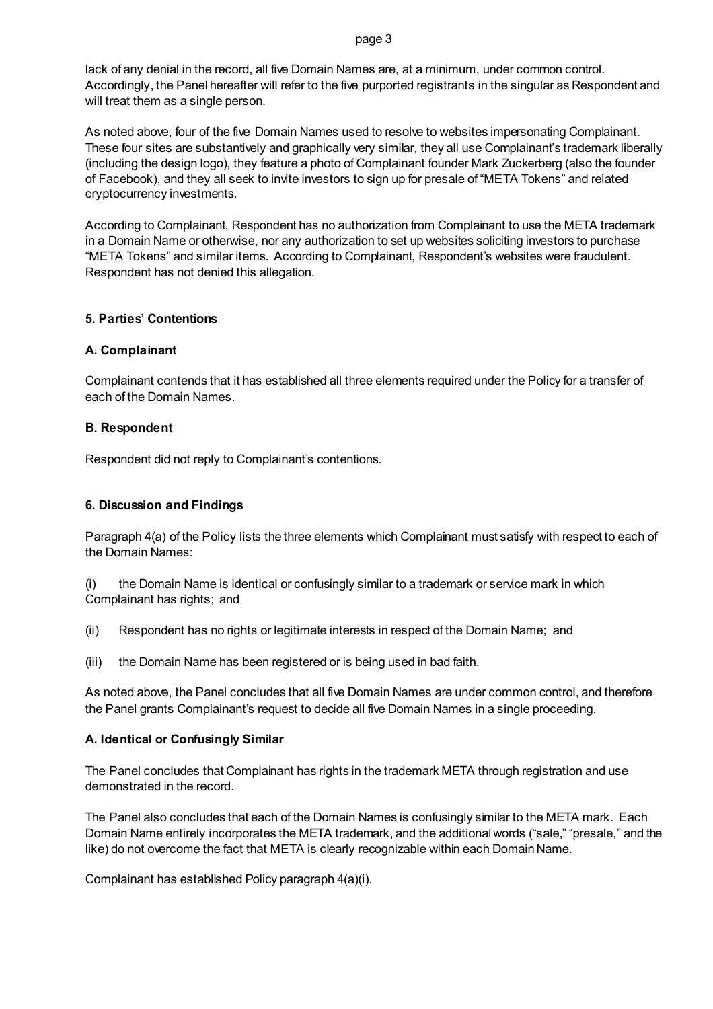page 3

lack of any denial in the record, all five Domain Names are, at a minimum, under common control. Accordingly, the Panel hereafter will refer to the five purported registrants in the singular as Respondent and will treat them as a single person.

As noted above, four of the five Domain Names used to resolve to websites impersonating Complainant. These four sites are substantively and graphically very similar, they all use Complainant's trademark liberally (including the design logo), they feature a photo of Complainant founder Mark Zuckerberg (also the founder of Facebook), and they all seek to invite investors to sign up for presale of "META Tokens" and related cryptocurrency investments.

According to Complainant, Respondent has no authorization from Complainant to use the META trademark in a Domain Name or otherwise, nor any authorization to set up websites soliciting investors to purchase "META Tokens" and similar items. According to Complainant, Respondent's websites were fraudulent. Respondent has not denied this allegation.

### **5. Parties' Contentions**

### **A. Complainant**

Complainant contends that it has established all three elements required under the Policy for a transfer of each of the Domain Names.

### **B. Respondent**

Respondent did not reply to Complainant's contentions.

## **6. Discussion and Findings**

Paragraph 4(a) of the Policy lists the three elements which Complainant must satisfy with respect to each of the Domain Names:

(i) the Domain Name is identical or confusingly similar to a trademark or service mark in which Complainant has rights; and

(ii) Respondent has no rights or legitimate interests in respect of the Domain Name; and

(iii) the Domain Name has been registered or is being used in bad faith.

As noted above, the Panel concludes that all five Domain Names are under common control, and therefore the Panel grants Complainant's request to decide all five Domain Names in a single proceeding.

### **A. Identical or Confusingly Similar**

The Panel concludes that Complainant has rights in the trademark META through registration and use demonstrated in the record.

The Panel also concludes that each of the Domain Names is confusingly similar to the META mark. Each Domain Name entirely incorporates the META trademark, and the additional words ("sale," "presale," and the like) do not overcome the fact that META is clearly recognizable within each Domain Name.

Complainant has established Policy paragraph 4(a)(i).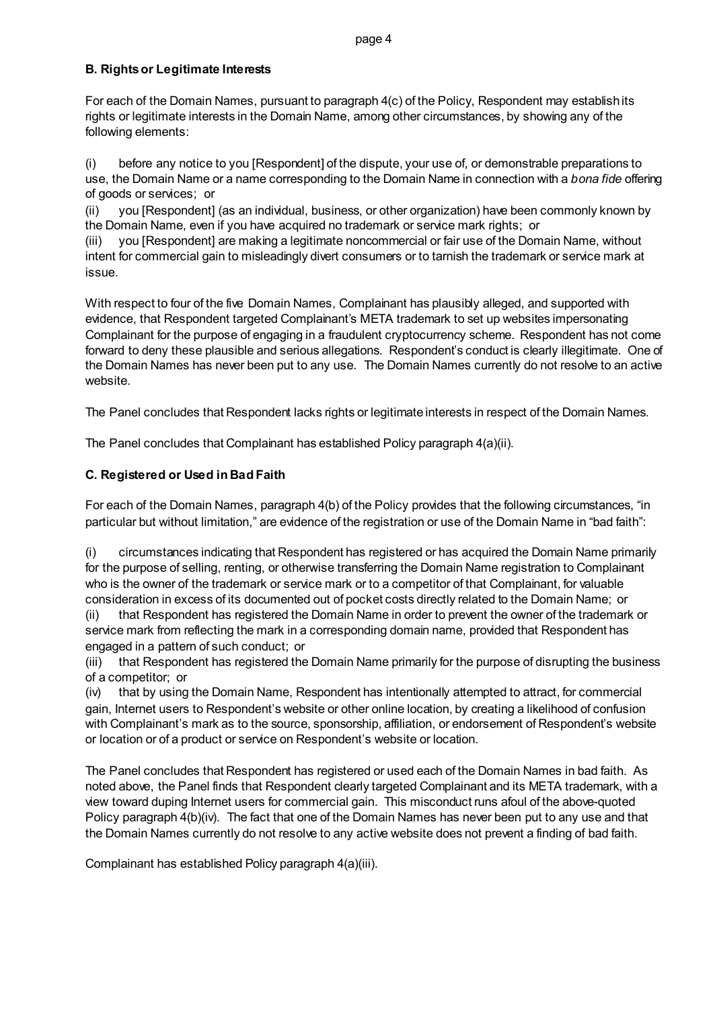#### page 4

### **B. Rights or Legitimate Interests**

For each of the Domain Names, pursuant to paragraph 4(c) of the Policy, Respondent may establish its rights or legitimate interests in the Domain Name, among other circumstances, by showing any of the following elements:

(i) before any notice to you [Respondent] of the dispute, your use of, or demonstrable preparations to use, the Domain Name or a name corresponding to the Domain Name in connection with a *bona fide* offering of goods or services; or

(ii) you [Respondent] (as an individual, business, or other organization) have been commonly known by the Domain Name, even if you have acquired no trademark or service mark rights; or

(iii) you [Respondent] are making a legitimate noncommercial or fair use of the Domain Name, without intent for commercial gain to misleadingly divert consumers or to tarnish the trademark or service mark at issue.

With respect to four of the five Domain Names, Complainant has plausibly alleged, and supported with evidence, that Respondent targeted Complainant's META trademark to set up websites impersonating Complainant for the purpose of engaging in a fraudulent cryptocurrency scheme. Respondent has not come forward to deny these plausible and serious allegations. Respondent's conduct is clearly illegitimate. One of the Domain Names has never been put to any use. The Domain Names currently do not resolve to an active website.

The Panel concludes that Respondent lacks rights or legitimate interests in respect of the Domain Names.

The Panel concludes that Complainant has established Policy paragraph 4(a)(ii).

# **C. Registered or Used in Bad Faith**

For each of the Domain Names, paragraph 4(b) of the Policy provides that the following circumstances, "in particular but without limitation," are evidence of the registration or use of the Domain Name in "bad faith":

(i) circumstances indicating that Respondent has registered or has acquired the Domain Name primarily for the purpose of selling, renting, or otherwise transferring the Domain Name registration to Complainant who is the owner of the trademark or service mark or to a competitor of that Complainant, for valuable consideration in excess of its documented out of pocket costs directly related to the Domain Name; or

(ii) that Respondent has registered the Domain Name in order to prevent the owner of the trademark or service mark from reflecting the mark in a corresponding domain name, provided that Respondent has engaged in a pattern of such conduct; or

(iii) that Respondent has registered the Domain Name primarily for the purpose of disrupting the business of a competitor; or

(iv) that by using the Domain Name, Respondent has intentionally attempted to attract, for commercial gain, Internet users to Respondent's website or other online location, by creating a likelihood of confusion with Complainant's mark as to the source, sponsorship, affiliation, or endorsement of Respondent's website or location or of a product or service on Respondent's website or location.

The Panel concludes that Respondent has registered or used each of the Domain Names in bad faith. As noted above, the Panel finds that Respondent clearly targeted Complainant and its META trademark, with a view toward duping Internet users for commercial gain. This misconduct runs afoul of the above-quoted Policy paragraph 4(b)(iv). The fact that one of the Domain Names has never been put to any use and that the Domain Names currently do not resolve to any active website does not prevent a finding of bad faith.

Complainant has established Policy paragraph 4(a)(iii).